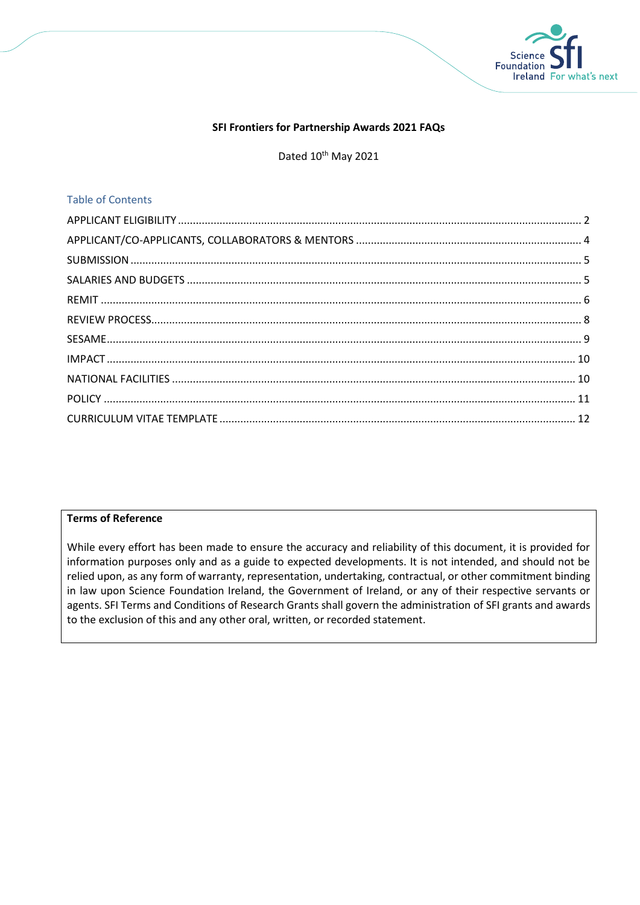

## **SFI Frontiers for Partnership Awards 2021 FAQs**

Dated 10<sup>th</sup> May 2021

## Table of Contents

## **Terms of Reference**

While every effort has been made to ensure the accuracy and reliability of this document, it is provided for information purposes only and as a guide to expected developments. It is not intended, and should not be relied upon, as any form of warranty, representation, undertaking, contractual, or other commitment binding in law upon Science Foundation Ireland, the Government of Ireland, or any of their respective servants or agents. SFI Terms and Conditions of Research Grants shall govern the administration of SFI grants and awards to the exclusion of this and any other oral, written, or recorded statement.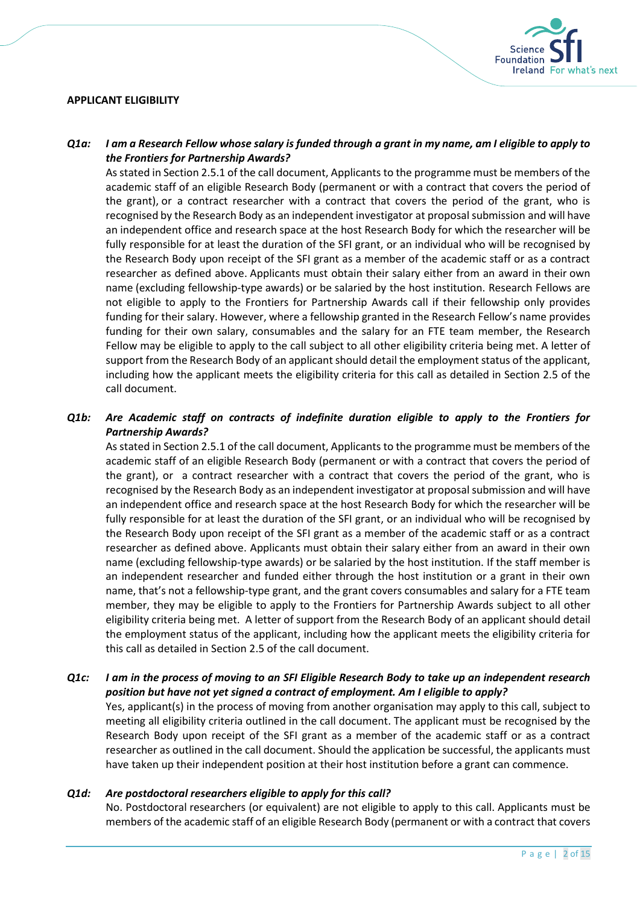## <span id="page-1-0"></span>**APPLICANT ELIGIBILITY**



## *Q1a: I am a Research Fellow whose salary is funded through a grant in my name, am I eligible to apply to the Frontiers for Partnership Awards?*

As stated in Section 2.5.1 of the call document, Applicants to the programme must be members of the academic staff of an eligible Research Body (permanent or with a contract that covers the period of the grant), or a contract researcher with a contract that covers the period of the grant, who is recognised by the Research Body as an independent investigator at proposal submission and will have an independent office and research space at the host Research Body for which the researcher will be fully responsible for at least the duration of the SFI grant, or an individual who will be recognised by the Research Body upon receipt of the SFI grant as a member of the academic staff or as a contract researcher as defined above. Applicants must obtain their salary either from an award in their own name (excluding fellowship-type awards) or be salaried by the host institution. Research Fellows are not eligible to apply to the Frontiers for Partnership Awards call if their fellowship only provides funding for their salary. However, where a fellowship granted in the Research Fellow's name provides funding for their own salary, consumables and the salary for an FTE team member, the Research Fellow may be eligible to apply to the call subject to all other eligibility criteria being met. A letter of support from the Research Body of an applicant should detail the employment status of the applicant, including how the applicant meets the eligibility criteria for this call as detailed in Section 2.5 of the call document.

# *Q1b: Are Academic staff on contracts of indefinite duration eligible to apply to the Frontiers for Partnership Awards?*

As stated in Section 2.5.1 of the call document, Applicants to the programme must be members of the academic staff of an eligible Research Body (permanent or with a contract that covers the period of the grant), or a contract researcher with a contract that covers the period of the grant, who is recognised by the Research Body as an independent investigator at proposal submission and will have an independent office and research space at the host Research Body for which the researcher will be fully responsible for at least the duration of the SFI grant, or an individual who will be recognised by the Research Body upon receipt of the SFI grant as a member of the academic staff or as a contract researcher as defined above. Applicants must obtain their salary either from an award in their own name (excluding fellowship-type awards) or be salaried by the host institution. If the staff member is an independent researcher and funded either through the host institution or a grant in their own name, that's not a fellowship-type grant, and the grant covers consumables and salary for a FTE team member, they may be eligible to apply to the Frontiers for Partnership Awards subject to all other eligibility criteria being met. A letter of support from the Research Body of an applicant should detail the employment status of the applicant, including how the applicant meets the eligibility criteria for this call as detailed in Section 2.5 of the call document.

## *Q1c: I am in the process of moving to an SFI Eligible Research Body to take up an independent research position but have not yet signed a contract of employment. Am I eligible to apply?*

Yes, applicant(s) in the process of moving from another organisation may apply to this call, subject to meeting all eligibility criteria outlined in the call document. The applicant must be recognised by the Research Body upon receipt of the SFI grant as a member of the academic staff or as a contract researcher as outlined in the call document. Should the application be successful, the applicants must have taken up their independent position at their host institution before a grant can commence.

# *Q1d: Are postdoctoral researchers eligible to apply for this call?*

No. Postdoctoral researchers (or equivalent) are not eligible to apply to this call. Applicants must be members of the academic staff of an eligible Research Body (permanent or with a contract that covers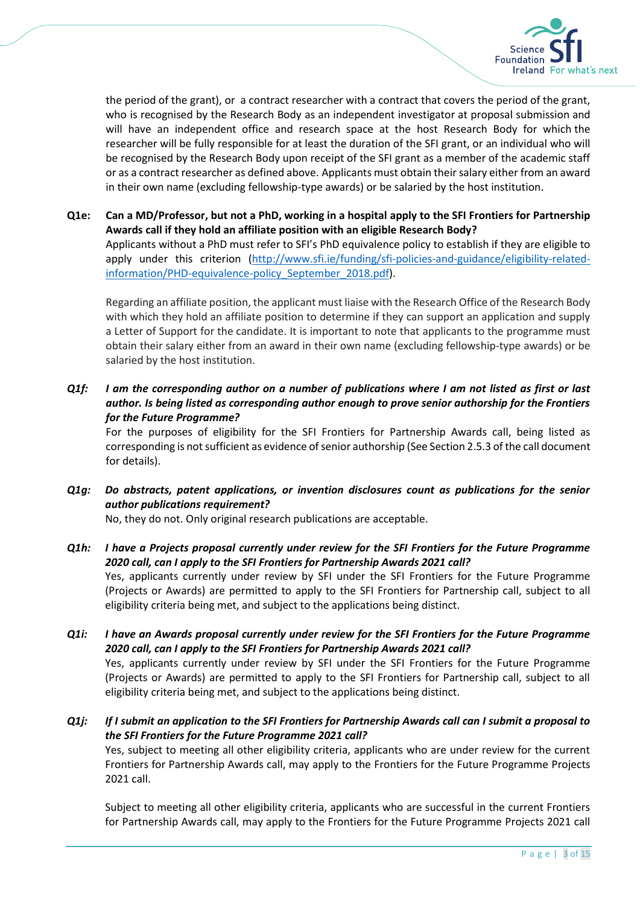

the period of the grant), or a contract researcher with a contract that covers the period of the grant, who is recognised by the Research Body as an independent investigator at proposal submission and will have an independent office and research space at the host Research Body for which the researcher will be fully responsible for at least the duration of the SFI grant, or an individual who will be recognised by the Research Body upon receipt of the SFI grant as a member of the academic staff or as a contract researcher as defined above. Applicants must obtain their salary either from an award in their own name (excluding fellowship-type awards) or be salaried by the host institution.

**Q1e: Can a MD/Professor, but not a PhD, working in a hospital apply to the SFI Frontiers for Partnership Awards call if they hold an affiliate position with an eligible Research Body?** Applicants without a PhD must refer to SFI's PhD equivalence policy to establish if they are eligible to apply under this criterion [\(http://www.sfi.ie/funding/sfi-policies-and-guidance/eligibility-related](http://www.sfi.ie/funding/sfi-policies-and-guidance/eligibility-related-information/PHD-equivalence-policy_September_2018.pdf)[information/PHD-equivalence-policy\\_September\\_2018.pdf\)](http://www.sfi.ie/funding/sfi-policies-and-guidance/eligibility-related-information/PHD-equivalence-policy_September_2018.pdf).

Regarding an affiliate position, the applicant must liaise with the Research Office of the Research Body with which they hold an affiliate position to determine if they can support an application and supply a Letter of Support for the candidate. It is important to note that applicants to the programme must obtain their salary either from an award in their own name (excluding fellowship-type awards) or be salaried by the host institution.

*Q1f: I am the corresponding author on a number of publications where I am not listed as first or last author. Is being listed as corresponding author enough to prove senior authorship for the Frontiers for the Future Programme?*

For the purposes of eligibility for the SFI Frontiers for Partnership Awards call, being listed as corresponding is not sufficient as evidence of senior authorship (See Section 2.5.3 of the call document for details).

*Q1g: Do abstracts, patent applications, or invention disclosures count as publications for the senior author publications requirement?*

No, they do not. Only original research publications are acceptable.

- *Q1h: I have a Projects proposal currently under review for the SFI Frontiers for the Future Programme 2020 call, can I apply to the SFI Frontiers for Partnership Awards 2021 call?* Yes, applicants currently under review by SFI under the SFI Frontiers for the Future Programme (Projects or Awards) are permitted to apply to the SFI Frontiers for Partnership call, subject to all eligibility criteria being met, and subject to the applications being distinct.
- *Q1i: I have an Awards proposal currently under review for the SFI Frontiers for the Future Programme 2020 call, can I apply to the SFI Frontiers for Partnership Awards 2021 call?* Yes, applicants currently under review by SFI under the SFI Frontiers for the Future Programme (Projects or Awards) are permitted to apply to the SFI Frontiers for Partnership call, subject to all eligibility criteria being met, and subject to the applications being distinct.
- *Q1j: If I submit an application to the SFI Frontiers for Partnership Awards call can I submit a proposal to the SFI Frontiers for the Future Programme 2021 call?* Yes, subject to meeting all other eligibility criteria, applicants who are under review for the current Frontiers for Partnership Awards call, may apply to the Frontiers for the Future Programme Projects 2021 call.

Subject to meeting all other eligibility criteria, applicants who are successful in the current Frontiers for Partnership Awards call, may apply to the Frontiers for the Future Programme Projects 2021 call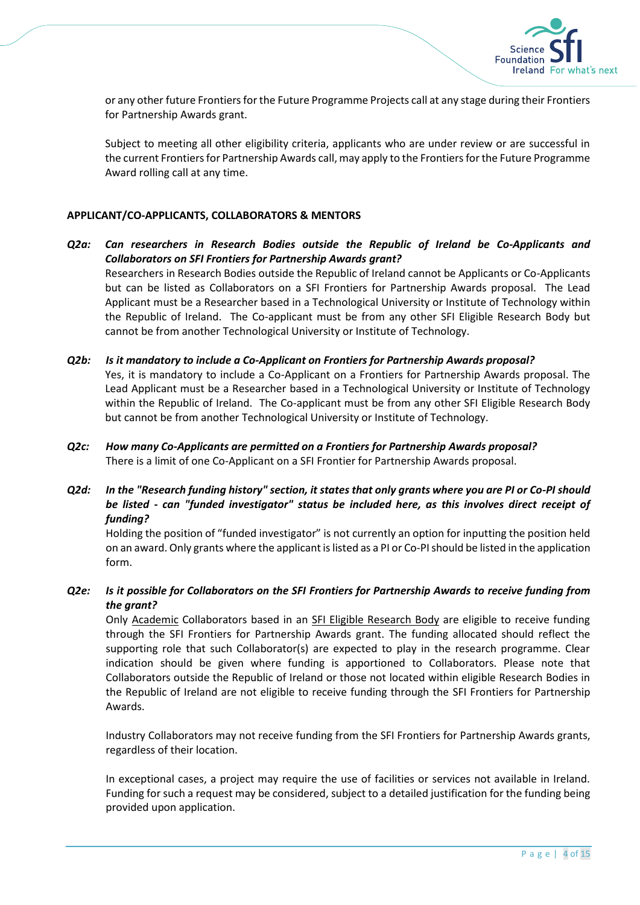

or any other future Frontiers for the Future Programme Projects call at any stage during their Frontiers for Partnership Awards grant.

Subject to meeting all other eligibility criteria, applicants who are under review or are successful in the current Frontiers for Partnership Awards call, may apply to the Frontiers for the Future Programme Award rolling call at any time.

## <span id="page-3-0"></span>**APPLICANT/CO-APPLICANTS, COLLABORATORS & MENTORS**

- *Q2a: Can researchers in Research Bodies outside the Republic of Ireland be Co-Applicants and Collaborators on SFI Frontiers for Partnership Awards grant?* Researchers in Research Bodies outside the Republic of Ireland cannot be Applicants or Co-Applicants but can be listed as Collaborators on a SFI Frontiers for Partnership Awards proposal. The Lead Applicant must be a Researcher based in a Technological University or Institute of Technology within the Republic of Ireland. The Co-applicant must be from any other SFI Eligible Research Body but cannot be from another Technological University or Institute of Technology.
- *Q2b: Is it mandatory to include a Co-Applicant on Frontiers for Partnership Awards proposal?* Yes, it is mandatory to include a Co-Applicant on a Frontiers for Partnership Awards proposal. The Lead Applicant must be a Researcher based in a Technological University or Institute of Technology within the Republic of Ireland. The Co-applicant must be from any other SFI Eligible Research Body but cannot be from another Technological University or Institute of Technology.
- *Q2c: How many Co-Applicants are permitted on a Frontiers for Partnership Awards proposal?* There is a limit of one Co-Applicant on a SFI Frontier for Partnership Awards proposal.
- *Q2d: In the "Research funding history" section, it states that only grants where you are PI or Co-PI should be listed - can "funded investigator" status be included here, as this involves direct receipt of funding?*

Holding the position of "funded investigator" is not currently an option for inputting the position held on an award. Only grants where the applicant is listed as a PI or Co-PI should be listed in the application form.

*Q2e: Is it possible for Collaborators on the SFI Frontiers for Partnership Awards to receive funding from the grant?*

Only Academic Collaborators based in an SFI Eligible Research Body are eligible to receive funding through the SFI Frontiers for Partnership Awards grant. The funding allocated should reflect the supporting role that such Collaborator(s) are expected to play in the research programme. Clear indication should be given where funding is apportioned to Collaborators. Please note that Collaborators outside the Republic of Ireland or those not located within eligible Research Bodies in the Republic of Ireland are not eligible to receive funding through the SFI Frontiers for Partnership Awards.

Industry Collaborators may not receive funding from the SFI Frontiers for Partnership Awards grants, regardless of their location.

In exceptional cases, a project may require the use of facilities or services not available in Ireland. Funding for such a request may be considered, subject to a detailed justification for the funding being provided upon application.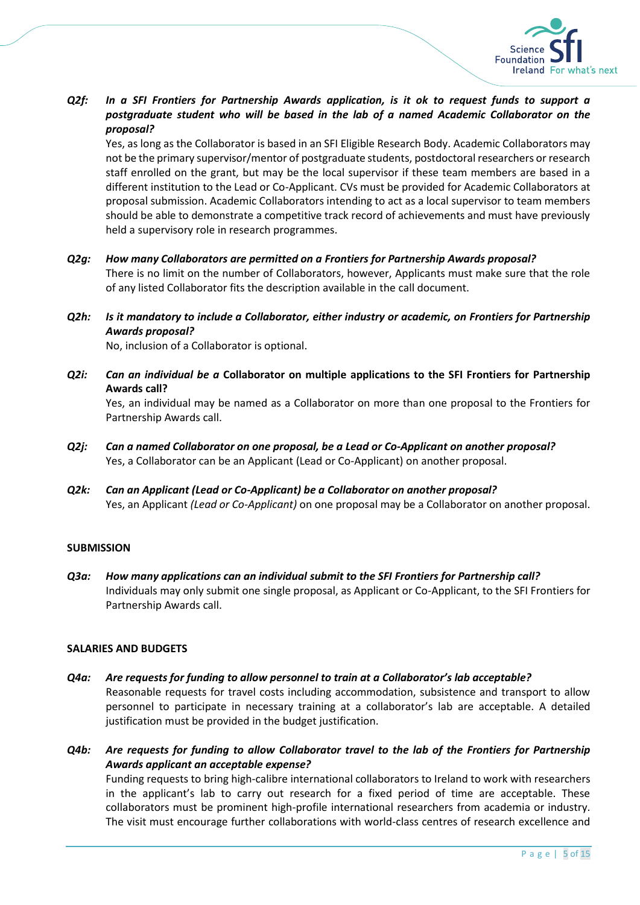

*Q2f: In a SFI Frontiers for Partnership Awards application, is it ok to request funds to support a postgraduate student who will be based in the lab of a named Academic Collaborator on the proposal?* 

Yes, as long as the Collaborator is based in an SFI Eligible Research Body. Academic Collaborators may not be the primary supervisor/mentor of postgraduate students, postdoctoral researchers or research staff enrolled on the grant, but may be the local supervisor if these team members are based in a different institution to the Lead or Co-Applicant. CVs must be provided for Academic Collaborators at proposal submission. Academic Collaborators intending to act as a local supervisor to team members should be able to demonstrate a competitive track record of achievements and must have previously held a supervisory role in research programmes.

- *Q2g: How many Collaborators are permitted on a Frontiers for Partnership Awards proposal?* There is no limit on the number of Collaborators, however, Applicants must make sure that the role of any listed Collaborator fits the description available in the call document.
- *Q2h: Is it mandatory to include a Collaborator, either industry or academic, on Frontiers for Partnership Awards proposal?*

No, inclusion of a Collaborator is optional.

*Q2i: Can an individual be a* **Collaborator on multiple applications to the SFI Frontiers for Partnership Awards call?**

Yes, an individual may be named as a Collaborator on more than one proposal to the Frontiers for Partnership Awards call.

- *Q2j: Can a named Collaborator on one proposal, be a Lead or Co-Applicant on another proposal?* Yes, a Collaborator can be an Applicant (Lead or Co-Applicant) on another proposal.
- *Q2k: Can an Applicant (Lead or Co-Applicant) be a Collaborator on another proposal?* Yes, an Applicant *(Lead or Co-Applicant)* on one proposal may be a Collaborator on another proposal.

## <span id="page-4-0"></span>**SUBMISSION**

*Q3a: How many applications can an individual submit to the SFI Frontiers for Partnership call?* Individuals may only submit one single proposal, as Applicant or Co-Applicant, to the SFI Frontiers for Partnership Awards call.

## <span id="page-4-1"></span>**SALARIES AND BUDGETS**

- *Q4a: Are requests for funding to allow personnel to train at a Collaborator's lab acceptable?* Reasonable requests for travel costs including accommodation, subsistence and transport to allow personnel to participate in necessary training at a collaborator's lab are acceptable. A detailed justification must be provided in the budget justification.
- *Q4b: Are requests for funding to allow Collaborator travel to the lab of the Frontiers for Partnership Awards applicant an acceptable expense?* Funding requests to bring high-calibre international collaborators to Ireland to work with researchers

in the applicant's lab to carry out research for a fixed period of time are acceptable. These collaborators must be prominent high-profile international researchers from academia or industry. The visit must encourage further collaborations with world-class centres of research excellence and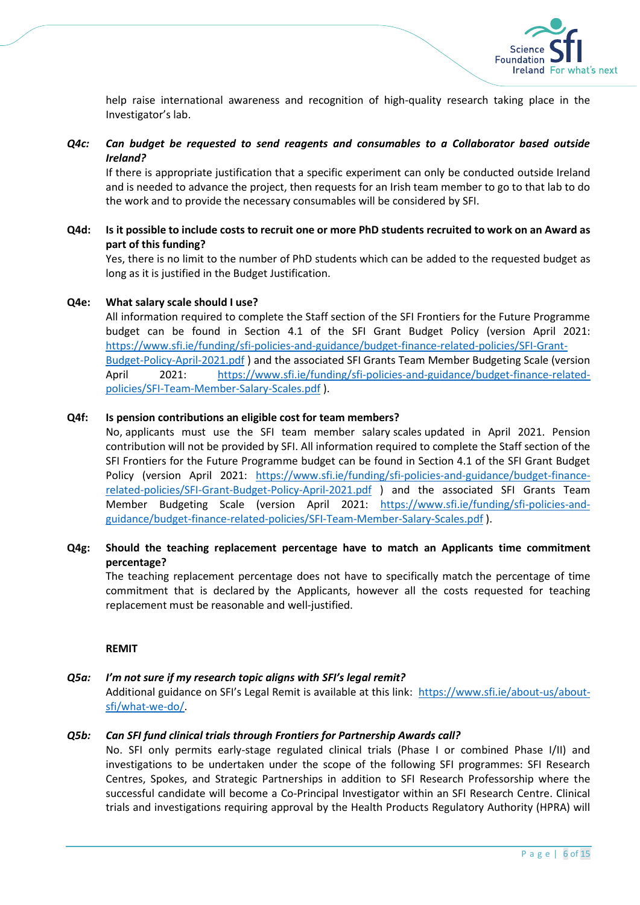

help raise international awareness and recognition of high-quality research taking place in the Investigator's lab.

# *Q4c: Can budget be requested to send reagents and consumables to a Collaborator based outside Ireland?*

If there is appropriate justification that a specific experiment can only be conducted outside Ireland and is needed to advance the project, then requests for an Irish team member to go to that lab to do the work and to provide the necessary consumables will be considered by SFI.

## **Q4d: Is it possible to include costs to recruit one or more PhD students recruited to work on an Award as part of this funding?**

Yes, there is no limit to the number of PhD students which can be added to the requested budget as long as it is justified in the Budget Justification.

## **Q4e: What salary scale should I use?**

All information required to complete the Staff section of the SFI Frontiers for the Future Programme budget can be found in Section 4.1 of the SFI Grant Budget Policy (version April 2021: [https://www.sfi.ie/funding/sfi-policies-and-guidance/budget-finance-related-policies/SFI-Grant-](https://www.sfi.ie/funding/sfi-policies-and-guidance/budget-finance-related-policies/SFI-Grant-Budget-Policy-April-2021.pdf)[Budget-Policy-April-2021.pdf](https://www.sfi.ie/funding/sfi-policies-and-guidance/budget-finance-related-policies/SFI-Grant-Budget-Policy-April-2021.pdf) ) and the associated SFI Grants Team Member Budgeting Scale (version April 2021: [https://www.sfi.ie/funding/sfi-policies-and-guidance/budget-finance-related](https://www.sfi.ie/funding/sfi-policies-and-guidance/budget-finance-related-policies/SFI-Team-Member-Salary-Scales.pdf)[policies/SFI-Team-Member-Salary-Scales.pdf](https://www.sfi.ie/funding/sfi-policies-and-guidance/budget-finance-related-policies/SFI-Team-Member-Salary-Scales.pdf) ).

## **Q4f: Is pension contributions an eligible cost for team members?**

No, applicants must use the SFI team member salary scales updated in April 2021. Pension contribution will not be provided by SFI. All information required to complete the Staff section of the SFI Frontiers for the Future Programme budget can be found in Section 4.1 of the SFI Grant Budget Policy (version April 2021: [https://www.sfi.ie/funding/sfi-policies-and-guidance/budget-finance](https://www.sfi.ie/funding/sfi-policies-and-guidance/budget-finance-related-policies/SFI-Grant-Budget-Policy-April-2021.pdf)[related-policies/SFI-Grant-Budget-Policy-April-2021.pdf](https://www.sfi.ie/funding/sfi-policies-and-guidance/budget-finance-related-policies/SFI-Grant-Budget-Policy-April-2021.pdf) ) and the associated SFI Grants Team Member Budgeting Scale (version April 2021: [https://www.sfi.ie/funding/sfi-policies-and](https://www.sfi.ie/funding/sfi-policies-and-guidance/budget-finance-related-policies/SFI-Team-Member-Salary-Scales.pdf)[guidance/budget-finance-related-policies/SFI-Team-Member-Salary-Scales.pdf](https://www.sfi.ie/funding/sfi-policies-and-guidance/budget-finance-related-policies/SFI-Team-Member-Salary-Scales.pdf) ).

# **Q4g: Should the teaching replacement percentage have to match an Applicants time commitment percentage?**

The teaching replacement percentage does not have to specifically match the percentage of time commitment that is declared by the Applicants, however all the costs requested for teaching replacement must be reasonable and well-justified.

## **REMIT**

## <span id="page-5-0"></span>*Q5a: I'm not sure if my research topic aligns with SFI's legal remit?*

Additional guidance on SFI's Legal Remit is available at this link: [https://www.sfi.ie/about-us/about](https://www.sfi.ie/about-us/about-sfi/what-we-do/)[sfi/what-we-do/.](https://www.sfi.ie/about-us/about-sfi/what-we-do/)

## *Q5b: Can SFI fund clinical trials through Frontiers for Partnership Awards call?*

No. SFI only permits early-stage regulated clinical trials (Phase I or combined Phase I/II) and investigations to be undertaken under the scope of the following SFI programmes: SFI Research Centres, Spokes, and Strategic Partnerships in addition to SFI Research Professorship where the successful candidate will become a Co-Principal Investigator within an SFI Research Centre. Clinical trials and investigations requiring approval by the Health Products Regulatory Authority (HPRA) will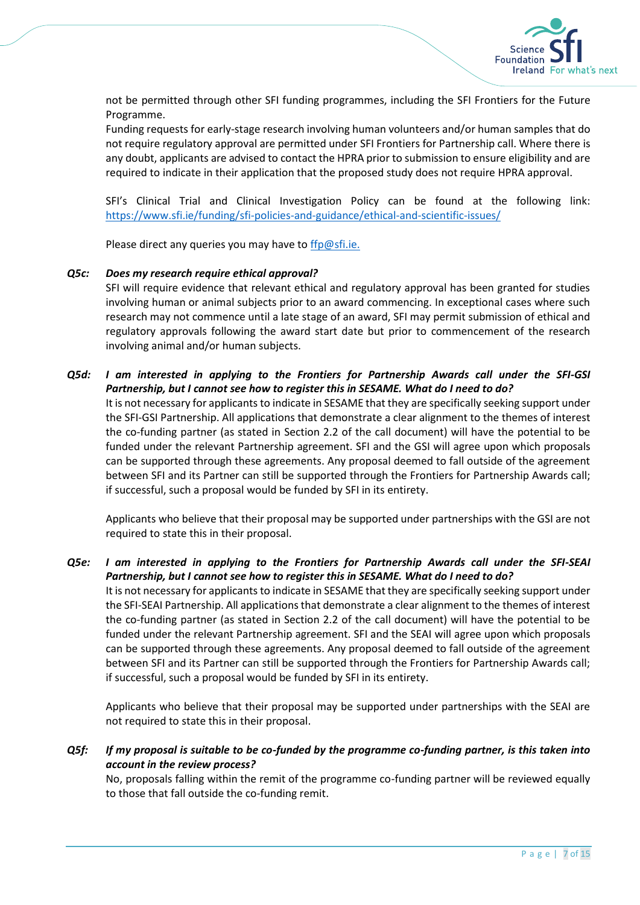

not be permitted through other SFI funding programmes, including the SFI Frontiers for the Future Programme.

Funding requests for early-stage research involving human volunteers and/or human samples that do not require regulatory approval are permitted under SFI Frontiers for Partnership call. Where there is any doubt, applicants are advised to contact the HPRA prior to submission to ensure eligibility and are required to indicate in their application that the proposed study does not require HPRA approval.

SFI's Clinical Trial and Clinical Investigation Policy can be found at the following link: <https://www.sfi.ie/funding/sfi-policies-and-guidance/ethical-and-scientific-issues/>

Please direct any queries you may have t[o ffp@sfi.ie.](mailto:investigators@sfi.ie)

#### *Q5c: Does my research require ethical approval?*

SFI will require evidence that relevant ethical and regulatory approval has been granted for studies involving human or animal subjects prior to an award commencing. In exceptional cases where such research may not commence until a late stage of an award, SFI may permit submission of ethical and regulatory approvals following the award start date but prior to commencement of the research involving animal and/or human subjects.

## *Q5d: I am interested in applying to the Frontiers for Partnership Awards call under the SFI-GSI Partnership, but I cannot see how to register this in SESAME. What do I need to do?*

It is not necessary for applicants to indicate in SESAME that they are specifically seeking support under the SFI-GSI Partnership. All applications that demonstrate a clear alignment to the themes of interest the co-funding partner (as stated in Section 2.2 of the call document) will have the potential to be funded under the relevant Partnership agreement. SFI and the GSI will agree upon which proposals can be supported through these agreements. Any proposal deemed to fall outside of the agreement between SFI and its Partner can still be supported through the Frontiers for Partnership Awards call; if successful, such a proposal would be funded by SFI in its entirety.

Applicants who believe that their proposal may be supported under partnerships with the GSI are not required to state this in their proposal.

## *Q5e: I am interested in applying to the Frontiers for Partnership Awards call under the SFI-SEAI Partnership, but I cannot see how to register this in SESAME. What do I need to do?* It is not necessary for applicants to indicate in SESAME that they are specifically seeking support under

the SFI-SEAI Partnership. All applications that demonstrate a clear alignment to the themes of interest the co-funding partner (as stated in Section 2.2 of the call document) will have the potential to be funded under the relevant Partnership agreement. SFI and the SEAI will agree upon which proposals can be supported through these agreements. Any proposal deemed to fall outside of the agreement between SFI and its Partner can still be supported through the Frontiers for Partnership Awards call; if successful, such a proposal would be funded by SFI in its entirety.

Applicants who believe that their proposal may be supported under partnerships with the SEAI are not required to state this in their proposal.

## *Q5f: If my proposal is suitable to be co-funded by the programme co-funding partner, is this taken into account in the review process?*

No, proposals falling within the remit of the programme co-funding partner will be reviewed equally to those that fall outside the co-funding remit.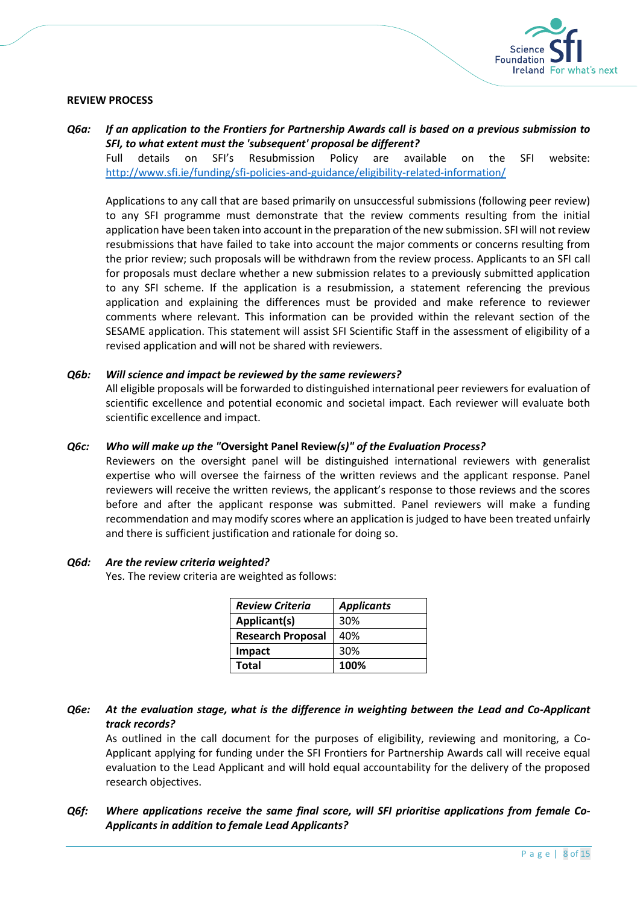

## <span id="page-7-0"></span>**REVIEW PROCESS**

# *Q6a: If an application to the Frontiers for Partnership Awards call is based on a previous submission to SFI, to what extent must the 'subsequent' proposal be different?*

Full details on SFI's Resubmission Policy are available on the SFI website: <http://www.sfi.ie/funding/sfi-policies-and-guidance/eligibility-related-information/>

Applications to any call that are based primarily on unsuccessful submissions (following peer review) to any SFI programme must demonstrate that the review comments resulting from the initial application have been taken into account in the preparation of the new submission. SFI will not review resubmissions that have failed to take into account the major comments or concerns resulting from the prior review; such proposals will be withdrawn from the review process. Applicants to an SFI call for proposals must declare whether a new submission relates to a previously submitted application to any SFI scheme. If the application is a resubmission, a statement referencing the previous application and explaining the differences must be provided and make reference to reviewer comments where relevant. This information can be provided within the relevant section of the SESAME application. This statement will assist SFI Scientific Staff in the assessment of eligibility of a revised application and will not be shared with reviewers.

#### *Q6b: Will science and impact be reviewed by the same reviewers?*

All eligible proposals will be forwarded to distinguished international peer reviewers for evaluation of scientific excellence and potential economic and societal impact. Each reviewer will evaluate both scientific excellence and impact.

#### *Q6c: Who will make up the "***Oversight Panel Review***(s)" of the Evaluation Process?*

Reviewers on the oversight panel will be distinguished international reviewers with generalist expertise who will oversee the fairness of the written reviews and the applicant response. Panel reviewers will receive the written reviews, the applicant's response to those reviews and the scores before and after the applicant response was submitted. Panel reviewers will make a funding recommendation and may modify scores where an application is judged to have been treated unfairly and there is sufficient justification and rationale for doing so.

#### *Q6d: Are the review criteria weighted?*

Yes. The review criteria are weighted as follows:

| <b>Review Criteria</b>   | <b>Applicants</b> |
|--------------------------|-------------------|
| Applicant(s)             | 30%               |
| <b>Research Proposal</b> | 40%               |
| Impact                   | 30%               |
| Total                    | 100%              |

*Q6e: At the evaluation stage, what is the difference in weighting between the Lead and Co-Applicant track records?*

As outlined in the call document for the purposes of eligibility, reviewing and monitoring, a Co-Applicant applying for funding under the SFI Frontiers for Partnership Awards call will receive equal evaluation to the Lead Applicant and will hold equal accountability for the delivery of the proposed research objectives.

## *Q6f: Where applications receive the same final score, will SFI prioritise applications from female Co-Applicants in addition to female Lead Applicants?*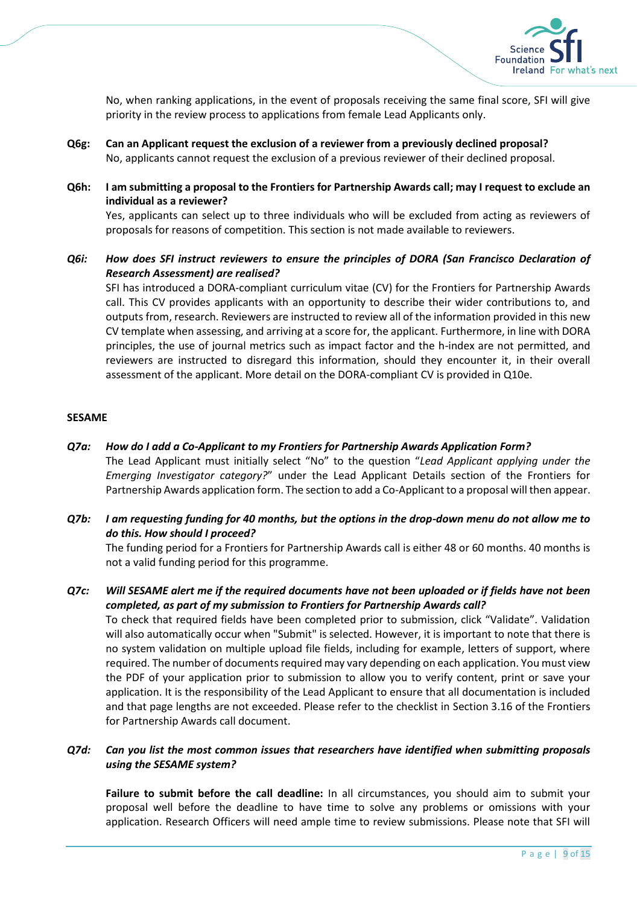

No, when ranking applications, in the event of proposals receiving the same final score, SFI will give priority in the review process to applications from female Lead Applicants only.

- **Q6g: Can an Applicant request the exclusion of a reviewer from a previously declined proposal?** No, applicants cannot request the exclusion of a previous reviewer of their declined proposal.
- **Q6h: I am submitting a proposal to the Frontiers for Partnership Awards call; may I request to exclude an individual as a reviewer?** Yes, applicants can select up to three individuals who will be excluded from acting as reviewers of

proposals for reasons of competition. This section is not made available to reviewers.

# *Q6i: How does SFI instruct reviewers to ensure the principles of DORA (San Francisco Declaration of Research Assessment) are realised?*

SFI has introduced a DORA-compliant curriculum vitae (CV) for the Frontiers for Partnership Awards call. This CV provides applicants with an opportunity to describe their wider contributions to, and outputs from, research. Reviewers are instructed to review all of the information provided in this new CV template when assessing, and arriving at a score for, the applicant. Furthermore, in line with DORA principles, the use of journal metrics such as impact factor and the h-index are not permitted, and reviewers are instructed to disregard this information, should they encounter it, in their overall assessment of the applicant. More detail on the DORA-compliant CV is provided in Q10e.

## <span id="page-8-0"></span>**SESAME**

- *Q7a: How do I add a Co-Applicant to my Frontiers for Partnership Awards Application Form?* The Lead Applicant must initially select "No" to the question "*Lead Applicant applying under the Emerging Investigator category?*" under the Lead Applicant Details section of the Frontiers for Partnership Awards application form. The section to add a Co-Applicant to a proposal will then appear.
- *Q7b: I am requesting funding for 40 months, but the options in the drop-down menu do not allow me to do this. How should I proceed?*

The funding period for a Frontiers for Partnership Awards call is either 48 or 60 months. 40 months is not a valid funding period for this programme.

*Q7c: Will SESAME alert me if the required documents have not been uploaded or if fields have not been completed, as part of my submission to Frontiers for Partnership Awards call?*

To check that required fields have been completed prior to submission, click "Validate". Validation will also automatically occur when "Submit" is selected. However, it is important to note that there is no system validation on multiple upload file fields, including for example, letters of support, where required. The number of documents required may vary depending on each application. You must view the PDF of your application prior to submission to allow you to verify content, print or save your application. It is the responsibility of the Lead Applicant to ensure that all documentation is included and that page lengths are not exceeded. Please refer to the checklist in Section 3.16 of the Frontiers for Partnership Awards call document.

## *Q7d: Can you list the most common issues that researchers have identified when submitting proposals using the SESAME system?*

**Failure to submit before the call deadline:** In all circumstances, you should aim to submit your proposal well before the deadline to have time to solve any problems or omissions with your application. Research Officers will need ample time to review submissions. Please note that SFI will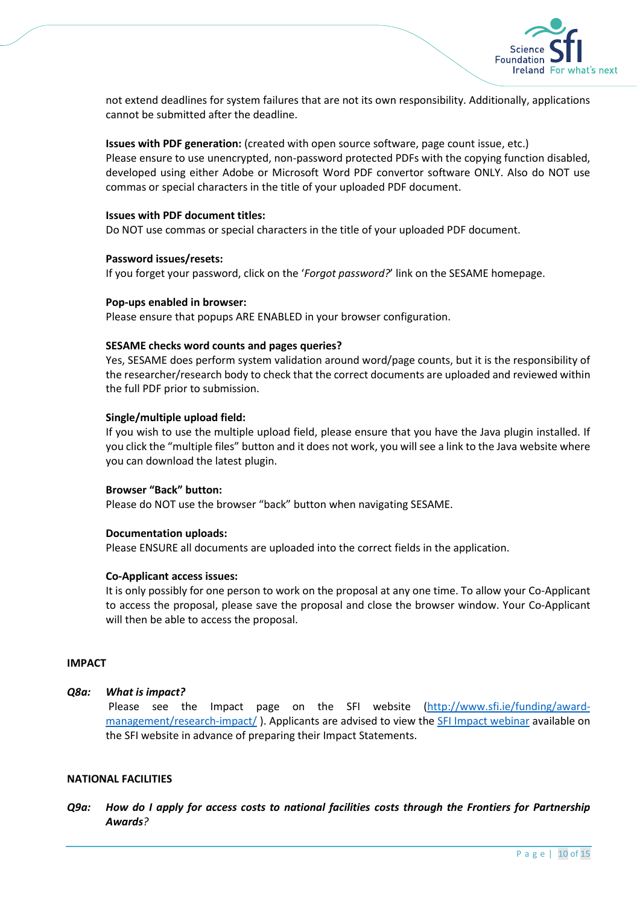

not extend deadlines for system failures that are not its own responsibility. Additionally, applications cannot be submitted after the deadline.

**Issues with PDF generation:** (created with open source software, page count issue, etc.)

Please ensure to use unencrypted, non-password protected PDFs with the copying function disabled, developed using either Adobe or Microsoft Word PDF convertor software ONLY. Also do NOT use commas or special characters in the title of your uploaded PDF document.

#### **Issues with PDF document titles:**

Do NOT use commas or special characters in the title of your uploaded PDF document.

#### **Password issues/resets:**

If you forget your password, click on the '*Forgot password?*' link on the SESAME homepage.

#### **Pop-ups enabled in browser:**

Please ensure that popups ARE ENABLED in your browser configuration.

#### **SESAME checks word counts and pages queries?**

Yes, SESAME does perform system validation around word/page counts, but it is the responsibility of the researcher/research body to check that the correct documents are uploaded and reviewed within the full PDF prior to submission.

#### **Single/multiple upload field:**

If you wish to use the multiple upload field, please ensure that you have the Java plugin installed. If you click the "multiple files" button and it does not work, you will see a link to the Java website where you can download the latest plugin.

#### **Browser "Back" button:**

Please do NOT use the browser "back" button when navigating SESAME.

## **Documentation uploads:**

Please ENSURE all documents are uploaded into the correct fields in the application.

#### **Co-Applicant access issues:**

It is only possibly for one person to work on the proposal at any one time. To allow your Co-Applicant to access the proposal, please save the proposal and close the browser window. Your Co-Applicant will then be able to access the proposal.

#### <span id="page-9-0"></span>**IMPACT**

## *Q8a: What is impact?*

Please see the Impact page on the SFI website [\(http://www.sfi.ie/funding/award](http://www.sfi.ie/funding/award-management/research-impact/)[management/research-impact/](http://www.sfi.ie/funding/award-management/research-impact/) ). Applicants are advised to view the [SFI Impact webinar](http://www.sfi.ie/funding/award-management/research-impact/) available on the SFI website in advance of preparing their Impact Statements.

#### <span id="page-9-1"></span>**NATIONAL FACILITIES**

*Q9a: How do I apply for access costs to national facilities costs through the Frontiers for Partnership Awards?*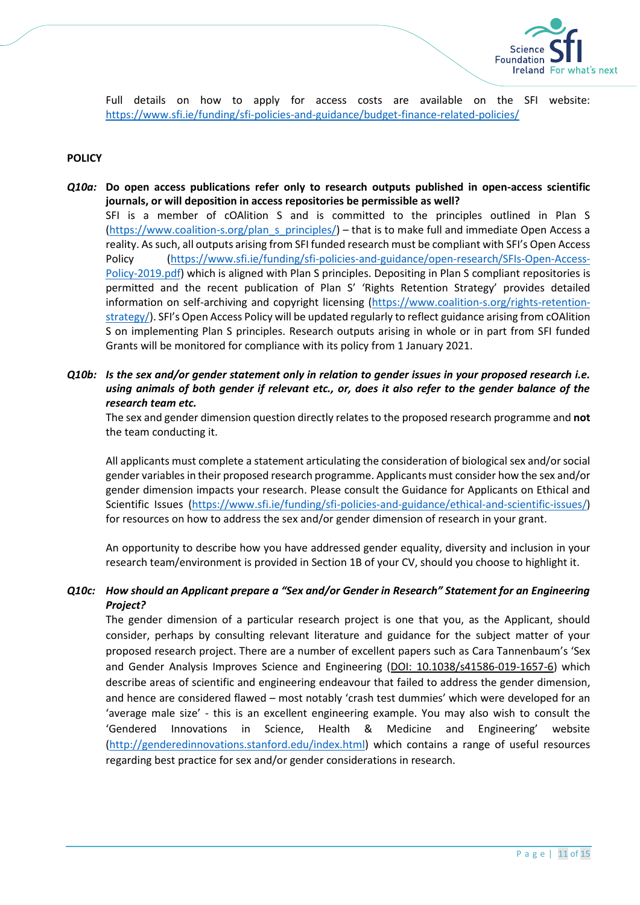

Full details on how to apply for access costs are available on the SFI website: <https://www.sfi.ie/funding/sfi-policies-and-guidance/budget-finance-related-policies/>

## <span id="page-10-0"></span>**POLICY**

- *Q10a:* **Do open access publications refer only to research outputs published in open-access scientific journals, or will deposition in access repositories be permissible as well?** SFI is a member of cOAlition S and is committed to the principles outlined in Plan S [\(https://www.coalition-s.org/plan\\_s\\_principles/\)](https://www.coalition-s.org/plan_s_principles/) – that is to make full and immediate Open Access a reality. As such, all outputs arising from SFI funded research must be compliant with SFI's Open Access Policy [\(https://www.sfi.ie/funding/sfi-policies-and-guidance/open-research/SFIs-Open-Access-](https://www.sfi.ie/funding/sfi-policies-and-guidance/open-research/SFIs-Open-Access-Policy-2019.pdf)[Policy-2019.pdf\)](https://www.sfi.ie/funding/sfi-policies-and-guidance/open-research/SFIs-Open-Access-Policy-2019.pdf) which is aligned with Plan S principles. Depositing in Plan S compliant repositories is permitted and the recent publication of Plan S' 'Rights Retention Strategy' provides detailed information on self-archiving and copyright licensing [\(https://www.coalition-s.org/rights-retention](https://www.coalition-s.org/rights-retention-strategy/)[strategy/](https://www.coalition-s.org/rights-retention-strategy/)). SFI's Open Access Policy will be updated regularly to reflect guidance arising from cOAlition S on implementing Plan S principles. Research outputs arising in whole or in part from SFI funded Grants will be monitored for compliance with its policy from 1 January 2021.
- *Q10b: Is the sex and/or gender statement only in relation to gender issues in your proposed research i.e. using animals of both gender if relevant etc., or, does it also refer to the gender balance of the research team etc.*

The sex and gender dimension question directly relates to the proposed research programme and **not** the team conducting it.

All applicants must complete a statement articulating the consideration of biological sex and/or social gender variables in their proposed research programme. Applicants must consider how the sex and/or gender dimension impacts your research. Please consult the Guidance for Applicants on Ethical and Scientific Issues [\(https://www.sfi.ie/funding/sfi-policies-and-guidance/ethical-and-scientific-issues/\)](https://www.sfi.ie/funding/sfi-policies-and-guidance/ethical-and-scientific-issues/) for resources on how to address the sex and/or gender dimension of research in your grant.

An opportunity to describe how you have addressed gender equality, diversity and inclusion in your research team/environment is provided in Section 1B of your CV, should you choose to highlight it.

## *Q10c: How should an Applicant prepare a "Sex and/or Gender in Research" Statement for an Engineering Project?*

The gender dimension of a particular research project is one that you, as the Applicant, should consider, perhaps by consulting relevant literature and guidance for the subject matter of your proposed research project. There are a number of excellent papers such as Cara Tannenbaum's 'Sex and Gender Analysis Improves Science and Engineering [\(DOI: 10.1038/s41586-019-1657-6\)](http://dx.doi.org/10.1038/s41586-019-1657-6) which describe areas of scientific and engineering endeavour that failed to address the gender dimension, and hence are considered flawed – most notably 'crash test dummies' which were developed for an 'average male size' - this is an excellent engineering example. You may also wish to consult the 'Gendered Innovations in Science, Health & Medicine and Engineering' website [\(http://genderedinnovations.stanford.edu/index.html\)](http://genderedinnovations.stanford.edu/index.html) which contains a range of useful resources regarding best practice for sex and/or gender considerations in research.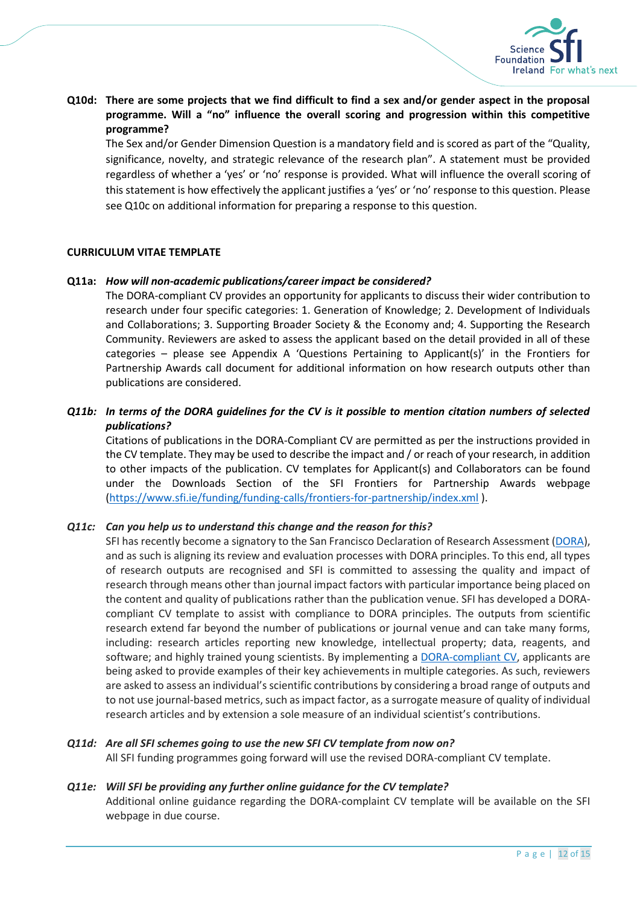

**Q10d: There are some projects that we find difficult to find a sex and/or gender aspect in the proposal programme. Will a "no" influence the overall scoring and progression within this competitive programme?**

The Sex and/or Gender Dimension Question is a mandatory field and is scored as part of the "Quality, significance, novelty, and strategic relevance of the research plan". A statement must be provided regardless of whether a 'yes' or 'no' response is provided. What will influence the overall scoring of this statement is how effectively the applicant justifies a 'yes' or 'no' response to this question. Please see Q10c on additional information for preparing a response to this question.

## <span id="page-11-0"></span>**CURRICULUM VITAE TEMPLATE**

#### **Q11a:** *How will non-academic publications/career impact be considered?*

The DORA-compliant CV provides an opportunity for applicants to discuss their wider contribution to research under four specific categories: 1. Generation of Knowledge; 2. Development of Individuals and Collaborations; 3. Supporting Broader Society & the Economy and; 4. Supporting the Research Community. Reviewers are asked to assess the applicant based on the detail provided in all of these categories – please see Appendix A 'Questions Pertaining to Applicant(s)' in the Frontiers for Partnership Awards call document for additional information on how research outputs other than publications are considered.

## *Q11b: In terms of the DORA guidelines for the CV is it possible to mention citation numbers of selected publications?*

Citations of publications in the DORA-Compliant CV are permitted as per the instructions provided in the CV template. They may be used to describe the impact and / or reach of your research, in addition to other impacts of the publication. CV templates for Applicant(s) and Collaborators can be found under the Downloads Section of the SFI Frontiers for Partnership Awards webpage [\(https://www.sfi.ie/funding/funding-calls/frontiers-for-partnership/index.xml](https://www.sfi.ie/funding/funding-calls/frontiers-for-partnership/index.xml) ).

#### *Q11c: Can you help us to understand this change and the reason for this?*

SFI has recently become a signatory to the San Francisco Declaration of Research Assessment [\(DORA\)](https://sfdora.org/read/), and as such is aligning its review and evaluation processes with DORA principles. To this end, all types of research outputs are recognised and SFI is committed to assessing the quality and impact of research through means other than journal impact factors with particular importance being placed on the content and quality of publications rather than the publication venue. SFI has developed a DORAcompliant CV template to assist with compliance to DORA principles. The outputs from scientific research extend far beyond the number of publications or journal venue and can take many forms, including: research articles reporting new knowledge, intellectual property; data, reagents, and software; and highly trained young scientists. By implementing a [DORA-compliant CV,](https://www.sfi.ie/funding/funding-calls/frontiers-for-the-future/) applicants are being asked to provide examples of their key achievements in multiple categories. As such, reviewers are asked to assess an individual's scientific contributions by considering a broad range of outputs and to not use journal-based metrics, such as impact factor, as a surrogate measure of quality of individual research articles and by extension a sole measure of an individual scientist's contributions.

## *Q11d: Are all SFI schemes going to use the new SFI CV template from now on?*

All SFI funding programmes going forward will use the revised DORA-compliant CV template.

#### *Q11e: Will SFI be providing any further online guidance for the CV template?*

Additional online guidance regarding the DORA-complaint CV template will be available on the SFI webpage in due course.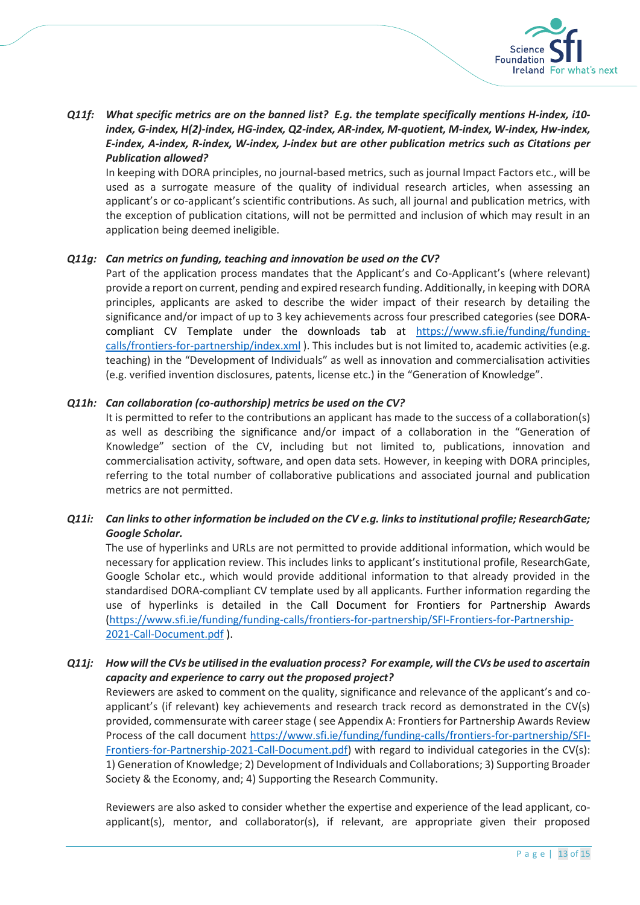

# *Q11f: What specific metrics are on the banned list? E.g. the template specifically mentions H-index, i10 index, G-index, H(2)-index, HG-index, Q2-index, AR-index, M-quotient, M-index, W-index, Hw-index, E-index, A-index, R-index, W-index, J-index but are other publication metrics such as Citations per Publication allowed?*

In keeping with DORA principles, no journal-based metrics, such as journal Impact Factors etc., will be used as a surrogate measure of the quality of individual research articles, when assessing an applicant's or co-applicant's scientific contributions. As such, all journal and publication metrics, with the exception of publication citations, will not be permitted and inclusion of which may result in an application being deemed ineligible.

## *Q11g: Can metrics on funding, teaching and innovation be used on the CV?*

Part of the application process mandates that the Applicant's and Co-Applicant's (where relevant) provide a report on current, pending and expired research funding. Additionally, in keeping with DORA principles, applicants are asked to describe the wider impact of their research by detailing the significance and/or impact of up to 3 key achievements across four prescribed categories (see DORAcompliant CV Template under the downloads tab at [https://www.sfi.ie/funding/funding](https://www.sfi.ie/funding/funding-calls/frontiers-for-partnership/index.xml)[calls/frontiers-for-partnership/index.xml](https://www.sfi.ie/funding/funding-calls/frontiers-for-partnership/index.xml) ). This includes but is not limited to, academic activities (e.g. teaching) in the "Development of Individuals" as well as innovation and commercialisation activities (e.g. verified invention disclosures, patents, license etc.) in the "Generation of Knowledge".

## *Q11h: Can collaboration (co-authorship) metrics be used on the CV?*

It is permitted to refer to the contributions an applicant has made to the success of a collaboration(s) as well as describing the significance and/or impact of a collaboration in the "Generation of Knowledge" section of the CV, including but not limited to, publications, innovation and commercialisation activity, software, and open data sets. However, in keeping with DORA principles, referring to the total number of collaborative publications and associated journal and publication metrics are not permitted.

# *Q11i: Can links to other information be included on the CV e.g. links to institutional profile; ResearchGate; Google Scholar.*

The use of hyperlinks and URLs are not permitted to provide additional information, which would be necessary for application review. This includes links to applicant's institutional profile, ResearchGate, Google Scholar etc., which would provide additional information to that already provided in the standardised DORA-compliant CV template used by all applicants. Further information regarding the use of hyperlinks is detailed in the Call Document for Frontiers for Partnership Awards [\(https://www.sfi.ie/funding/funding-calls/frontiers-for-partnership/SFI-Frontiers-for-Partnership-](https://www.sfi.ie/funding/funding-calls/frontiers-for-partnership/SFI-Frontiers-for-Partnership-2021-Call-Document.pdf)[2021-Call-Document.pdf](https://www.sfi.ie/funding/funding-calls/frontiers-for-partnership/SFI-Frontiers-for-Partnership-2021-Call-Document.pdf) ).

# *Q11j: How will the CVs be utilised in the evaluation process? For example, will the CVs be used to ascertain capacity and experience to carry out the proposed project?*

Reviewers are asked to comment on the quality, significance and relevance of the applicant's and coapplicant's (if relevant) key achievements and research track record as demonstrated in the CV(s) provided, commensurate with career stage (see Appendix A: Frontiers for Partnership Awards Review Process of the call document [https://www.sfi.ie/funding/funding-calls/frontiers-for-partnership/SFI-](https://www.sfi.ie/funding/funding-calls/frontiers-for-partnership/SFI-Frontiers-for-Partnership-2021-Call-Document.pdf)[Frontiers-for-Partnership-2021-Call-Document.pdf\)](https://www.sfi.ie/funding/funding-calls/frontiers-for-partnership/SFI-Frontiers-for-Partnership-2021-Call-Document.pdf) with regard to individual categories in the CV(s): 1) Generation of Knowledge; 2) Development of Individuals and Collaborations; 3) Supporting Broader Society & the Economy, and; 4) Supporting the Research Community.

Reviewers are also asked to consider whether the expertise and experience of the lead applicant, coapplicant(s), mentor, and collaborator(s), if relevant, are appropriate given their proposed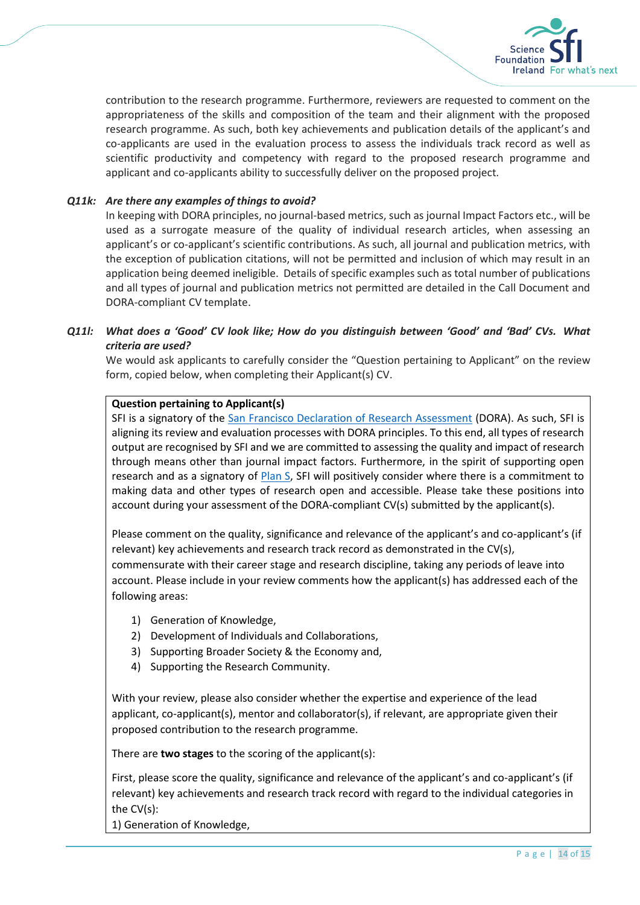

contribution to the research programme. Furthermore, reviewers are requested to comment on the appropriateness of the skills and composition of the team and their alignment with the proposed research programme. As such, both key achievements and publication details of the applicant's and co-applicants are used in the evaluation process to assess the individuals track record as well as scientific productivity and competency with regard to the proposed research programme and applicant and co-applicants ability to successfully deliver on the proposed project.

## *Q11k: Are there any examples of things to avoid?*

In keeping with DORA principles, no journal-based metrics, such as journal Impact Factors etc., will be used as a surrogate measure of the quality of individual research articles, when assessing an applicant's or co-applicant's scientific contributions. As such, all journal and publication metrics, with the exception of publication citations, will not be permitted and inclusion of which may result in an application being deemed ineligible. Details of specific examples such as total number of publications and all types of journal and publication metrics not permitted are detailed in the Call Document and DORA-compliant CV template.

## *Q11l: What does a 'Good' CV look like; How do you distinguish between 'Good' and 'Bad' CVs. What criteria are used?*

We would ask applicants to carefully consider the "Question pertaining to Applicant" on the review form, copied below, when completing their Applicant(s) CV.

## **Question pertaining to Applicant(s)**

SFI is a signatory of the [San Francisco Declaration of Research Assessment](https://sfdora.org/read/) (DORA). As such, SFI is aligning its review and evaluation processes with DORA principles. To this end, all types of research output are recognised by SFI and we are committed to assessing the quality and impact of research through means other than journal impact factors. Furthermore, in the spirit of supporting open research and as a signatory of [Plan S,](https://www.coalition-s.org/) SFI will positively consider where there is a commitment to making data and other types of research open and accessible. Please take these positions into account during your assessment of the DORA-compliant CV(s) submitted by the applicant(s).

Please comment on the quality, significance and relevance of the applicant's and co-applicant's (if relevant) key achievements and research track record as demonstrated in the CV(s), commensurate with their career stage and research discipline, taking any periods of leave into account. Please include in your review comments how the applicant(s) has addressed each of the following areas:

- 1) Generation of Knowledge,
- 2) Development of Individuals and Collaborations,
- 3) Supporting Broader Society & the Economy and,
- 4) Supporting the Research Community.

With your review, please also consider whether the expertise and experience of the lead applicant, co-applicant(s), mentor and collaborator(s), if relevant, are appropriate given their proposed contribution to the research programme.

There are **two stages** to the scoring of the applicant(s):

First, please score the quality, significance and relevance of the applicant's and co-applicant's (if relevant) key achievements and research track record with regard to the individual categories in the CV(s):

1) Generation of Knowledge,